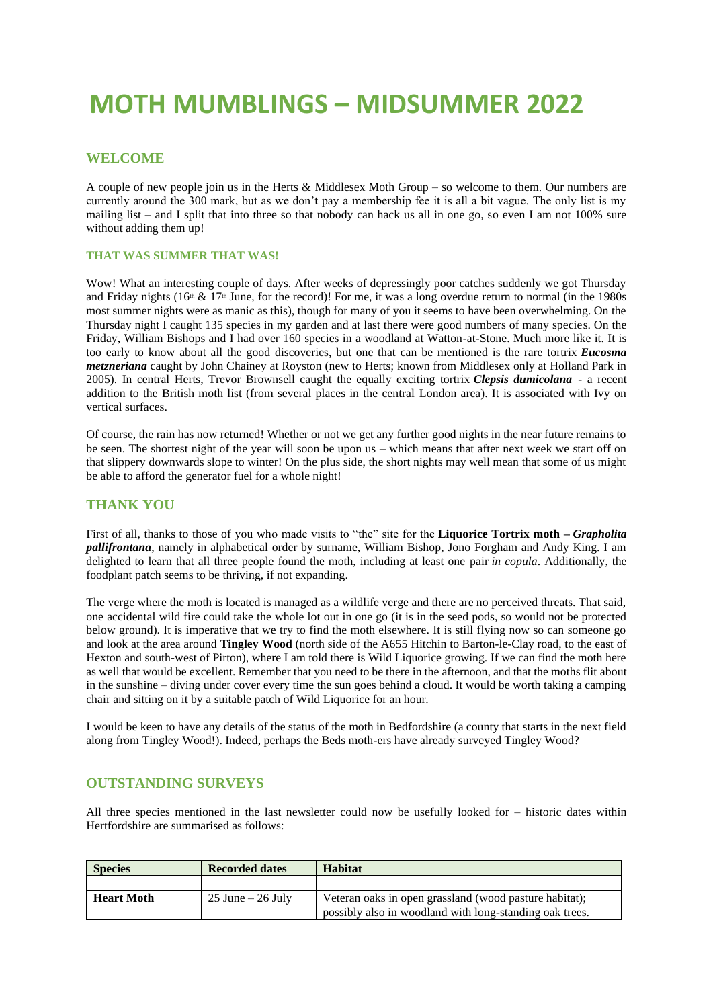# **MOTH MUMBLINGS – MIDSUMMER 2022**

### **WELCOME**

A couple of new people join us in the Herts & Middlesex Moth Group – so welcome to them. Our numbers are currently around the 300 mark, but as we don't pay a membership fee it is all a bit vague. The only list is my mailing list – and I split that into three so that nobody can hack us all in one go, so even I am not 100% sure without adding them up!

#### **THAT WAS SUMMER THAT WAS!**

Wow! What an interesting couple of days. After weeks of depressingly poor catches suddenly we got Thursday and Friday nights (16<sup>th</sup>  $\&$  17<sup>th</sup> June, for the record)! For me, it was a long overdue return to normal (in the 1980s most summer nights were as manic as this), though for many of you it seems to have been overwhelming. On the Thursday night I caught 135 species in my garden and at last there were good numbers of many species. On the Friday, William Bishops and I had over 160 species in a woodland at Watton-at-Stone. Much more like it. It is too early to know about all the good discoveries, but one that can be mentioned is the rare tortrix *Eucosma metzneriana* caught by John Chainey at Royston (new to Herts; known from Middlesex only at Holland Park in 2005). In central Herts, Trevor Brownsell caught the equally exciting tortrix *Clepsis dumicolana* - a recent addition to the British moth list (from several places in the central London area). It is associated with Ivy on vertical surfaces.

Of course, the rain has now returned! Whether or not we get any further good nights in the near future remains to be seen. The shortest night of the year will soon be upon us – which means that after next week we start off on that slippery downwards slope to winter! On the plus side, the short nights may well mean that some of us might be able to afford the generator fuel for a whole night!

#### **THANK YOU**

First of all, thanks to those of you who made visits to "the" site for the **Liquorice Tortrix moth –** *Grapholita pallifrontana*, namely in alphabetical order by surname, William Bishop, Jono Forgham and Andy King. I am delighted to learn that all three people found the moth, including at least one pair *in copula*. Additionally, the foodplant patch seems to be thriving, if not expanding.

The verge where the moth is located is managed as a wildlife verge and there are no perceived threats. That said, one accidental wild fire could take the whole lot out in one go (it is in the seed pods, so would not be protected below ground). It is imperative that we try to find the moth elsewhere. It is still flying now so can someone go and look at the area around **Tingley Wood** (north side of the A655 Hitchin to Barton-le-Clay road, to the east of Hexton and south-west of Pirton), where I am told there is Wild Liquorice growing. If we can find the moth here as well that would be excellent. Remember that you need to be there in the afternoon, and that the moths flit about in the sunshine – diving under cover every time the sun goes behind a cloud. It would be worth taking a camping chair and sitting on it by a suitable patch of Wild Liquorice for an hour.

I would be keen to have any details of the status of the moth in Bedfordshire (a county that starts in the next field along from Tingley Wood!). Indeed, perhaps the Beds moth-ers have already surveyed Tingley Wood?

#### **OUTSTANDING SURVEYS**

All three species mentioned in the last newsletter could now be usefully looked for – historic dates within Hertfordshire are summarised as follows:

| <b>Species</b>    | <b>Recorded dates</b> | <b>Habitat</b>                                                                                                    |
|-------------------|-----------------------|-------------------------------------------------------------------------------------------------------------------|
|                   |                       |                                                                                                                   |
| <b>Heart Moth</b> | $25$ June $-26$ July  | Veteran oaks in open grassland (wood pasture habitat);<br>possibly also in woodland with long-standing oak trees. |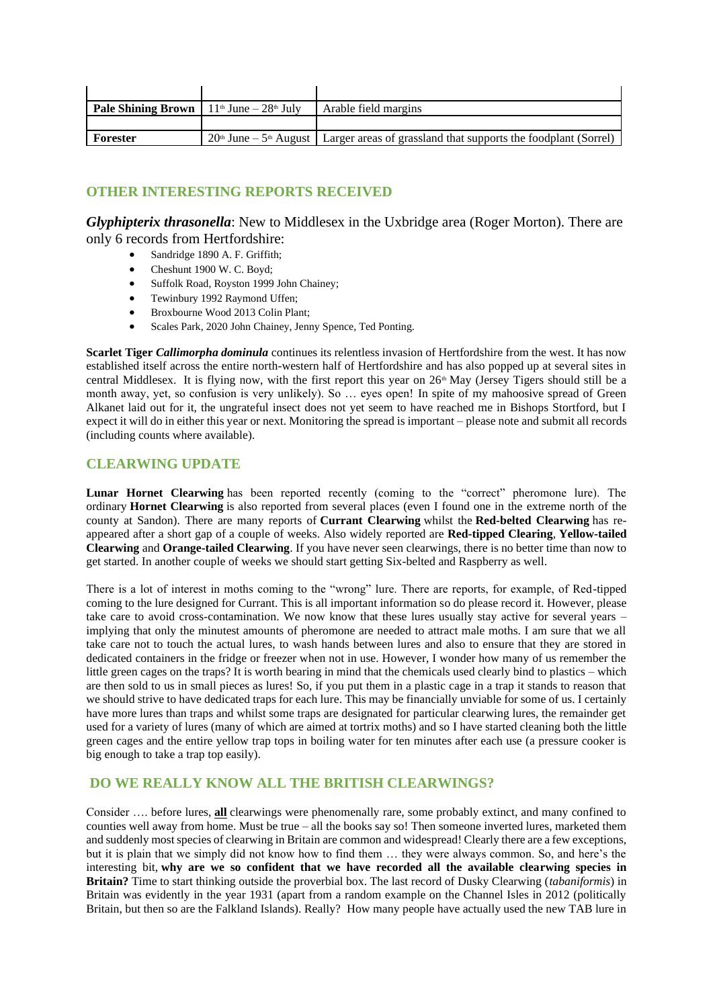| <b>Pale Shining Brown</b>   $11th$ June $-28th$ July | Arable field margins                                                                                  |
|------------------------------------------------------|-------------------------------------------------------------------------------------------------------|
|                                                      |                                                                                                       |
| Forester                                             | $20th$ June – 5 <sup>th</sup> August   Larger areas of grassland that supports the foodplant (Sorrel) |

## **OTHER INTERESTING REPORTS RECEIVED**

*Glyphipterix thrasonella*: New to Middlesex in the Uxbridge area (Roger Morton). There are only 6 records from Hertfordshire:

- Sandridge 1890 A. F. Griffith;
- Cheshunt 1900 W. C. Boyd;
- Suffolk Road, Royston 1999 John Chainey;
- Tewinbury 1992 Raymond Uffen;
- Broxbourne Wood 2013 Colin Plant;
- Scales Park, 2020 John Chainey, Jenny Spence, Ted Ponting.

**Scarlet Tiger** *Callimorpha dominula* continues its relentless invasion of Hertfordshire from the west. It has now established itself across the entire north-western half of Hertfordshire and has also popped up at several sites in central Middlesex. It is flying now, with the first report this year on  $26<sup>th</sup>$  May (Jersey Tigers should still be a month away, yet, so confusion is very unlikely). So … eyes open! In spite of my mahoosive spread of Green Alkanet laid out for it, the ungrateful insect does not yet seem to have reached me in Bishops Stortford, but I expect it will do in either this year or next. Monitoring the spread is important – please note and submit all records (including counts where available).

## **CLEARWING UPDATE**

Lunar Hornet Clearwing has been reported recently (coming to the "correct" pheromone lure). The ordinary **Hornet Clearwing** is also reported from several places (even I found one in the extreme north of the county at Sandon). There are many reports of **Currant Clearwing** whilst the **Red-belted Clearwing** has reappeared after a short gap of a couple of weeks. Also widely reported are **Red-tipped Clearing**, **Yellow-tailed Clearwing** and **Orange-tailed Clearwing**. If you have never seen clearwings, there is no better time than now to get started. In another couple of weeks we should start getting Six-belted and Raspberry as well.

There is a lot of interest in moths coming to the "wrong" lure. There are reports, for example, of Red-tipped coming to the lure designed for Currant. This is all important information so do please record it. However, please take care to avoid cross-contamination. We now know that these lures usually stay active for several years – implying that only the minutest amounts of pheromone are needed to attract male moths. I am sure that we all take care not to touch the actual lures, to wash hands between lures and also to ensure that they are stored in dedicated containers in the fridge or freezer when not in use. However, I wonder how many of us remember the little green cages on the traps? It is worth bearing in mind that the chemicals used clearly bind to plastics – which are then sold to us in small pieces as lures! So, if you put them in a plastic cage in a trap it stands to reason that we should strive to have dedicated traps for each lure. This may be financially unviable for some of us. I certainly have more lures than traps and whilst some traps are designated for particular clearwing lures, the remainder get used for a variety of lures (many of which are aimed at tortrix moths) and so I have started cleaning both the little green cages and the entire yellow trap tops in boiling water for ten minutes after each use (a pressure cooker is big enough to take a trap top easily).

## **DO WE REALLY KNOW ALL THE BRITISH CLEARWINGS?**

Consider …. before lures, **all** clearwings were phenomenally rare, some probably extinct, and many confined to counties well away from home. Must be true – all the books say so! Then someone inverted lures, marketed them and suddenly most species of clearwing in Britain are common and widespread! Clearly there are a few exceptions, but it is plain that we simply did not know how to find them … they were always common. So, and here's the interesting bit, **why are we so confident that we have recorded all the available clearwing species in Britain?** Time to start thinking outside the proverbial box. The last record of Dusky Clearwing (*tabaniformis*) in Britain was evidently in the year 1931 (apart from a random example on the Channel Isles in 2012 (politically Britain, but then so are the Falkland Islands). Really? How many people have actually used the new TAB lure in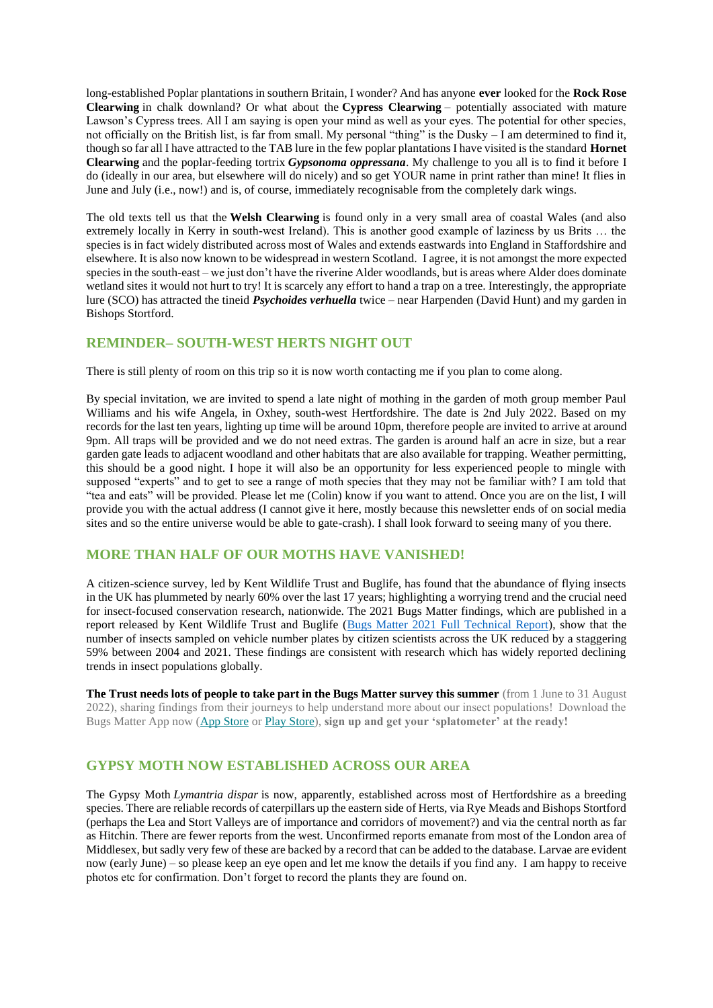long-established Poplar plantations in southern Britain, I wonder? And has anyone **ever** looked for the **Rock Rose Clearwing** in chalk downland? Or what about the **Cypress Clearwing** – potentially associated with mature Lawson's Cypress trees. All I am saying is open your mind as well as your eyes. The potential for other species, not officially on the British list, is far from small. My personal "thing" is the Dusky – I am determined to find it, though so far all I have attracted to the TAB lure in the few poplar plantations I have visited is the standard **Hornet Clearwing** and the poplar-feeding tortrix *Gypsonoma oppressana*. My challenge to you all is to find it before I do (ideally in our area, but elsewhere will do nicely) and so get YOUR name in print rather than mine! It flies in June and July (i.e., now!) and is, of course, immediately recognisable from the completely dark wings.

The old texts tell us that the **Welsh Clearwing** is found only in a very small area of coastal Wales (and also extremely locally in Kerry in south-west Ireland). This is another good example of laziness by us Brits … the species is in fact widely distributed across most of Wales and extends eastwards into England in Staffordshire and elsewhere. It is also now known to be widespread in western Scotland. I agree, it is not amongst the more expected species in the south-east – we just don't have the riverine Alder woodlands, but is areas where Alder does dominate wetland sites it would not hurt to try! It is scarcely any effort to hand a trap on a tree. Interestingly, the appropriate lure (SCO) has attracted the tineid *Psychoides verhuella* twice – near Harpenden (David Hunt) and my garden in Bishops Stortford.

### **REMINDER– SOUTH-WEST HERTS NIGHT OUT**

There is still plenty of room on this trip so it is now worth contacting me if you plan to come along.

By special invitation, we are invited to spend a late night of mothing in the garden of moth group member Paul Williams and his wife Angela, in Oxhey, south-west Hertfordshire. The date is 2nd July 2022. Based on my records for the last ten years, lighting up time will be around 10pm, therefore people are invited to arrive at around 9pm. All traps will be provided and we do not need extras. The garden is around half an acre in size, but a rear garden gate leads to adjacent woodland and other habitats that are also available for trapping. Weather permitting, this should be a good night. I hope it will also be an opportunity for less experienced people to mingle with supposed "experts" and to get to see a range of moth species that they may not be familiar with? I am told that "tea and eats" will be provided. Please let me (Colin) know if you want to attend. Once you are on the list, I will provide you with the actual address (I cannot give it here, mostly because this newsletter ends of on social media sites and so the entire universe would be able to gate-crash). I shall look forward to seeing many of you there.

### **MORE THAN HALF OF OUR MOTHS HAVE VANISHED!**

A citizen-science survey, led by Kent Wildlife Trust and Buglife, has found that the abundance of flying insects in the UK has plummeted by nearly 60% over the last 17 years; highlighting a worrying trend and the crucial need for insect-focused conservation research, nationwide. The 2021 Bugs Matter findings, which are published in a report released by Kent Wildlife Trust and Buglife [\(Bugs Matter 2021 Full Technical Report\)](https://cdn.buglife.org.uk/2022/05/Bugs-Matter-2021-National-Report.pdf), show that the number of insects sampled on vehicle number plates by citizen scientists across the UK reduced by a staggering 59% between 2004 and 2021. These findings are consistent with research which has widely reported declining trends in insect populations globally.

**The Trust needs lots of people to take part in the Bugs Matter survey this summer** (from 1 June to 31 August 2022), sharing findings from their journeys to help understand more about our insect populations!  Download the Bugs Matter App now [\(App Store](https://hertswildlifetrust.us18.list-manage.com/track/click?u=a16d0ff095ec7e201e2d538f9&id=29e4b184a6&e=c75d6d9885) or [Play Store\)](https://hertswildlifetrust.us18.list-manage.com/track/click?u=a16d0ff095ec7e201e2d538f9&id=9f9a88d681&e=c75d6d9885), **sign up and get your 'splatometer' at the ready!**

### **GYPSY MOTH NOW ESTABLISHED ACROSS OUR AREA**

The Gypsy Moth *Lymantria dispar* is now, apparently, established across most of Hertfordshire as a breeding species. There are reliable records of caterpillars up the eastern side of Herts, via Rye Meads and Bishops Stortford (perhaps the Lea and Stort Valleys are of importance and corridors of movement?) and via the central north as far as Hitchin. There are fewer reports from the west. Unconfirmed reports emanate from most of the London area of Middlesex, but sadly very few of these are backed by a record that can be added to the database. Larvae are evident now (early June) – so please keep an eye open and let me know the details if you find any. I am happy to receive photos etc for confirmation. Don't forget to record the plants they are found on.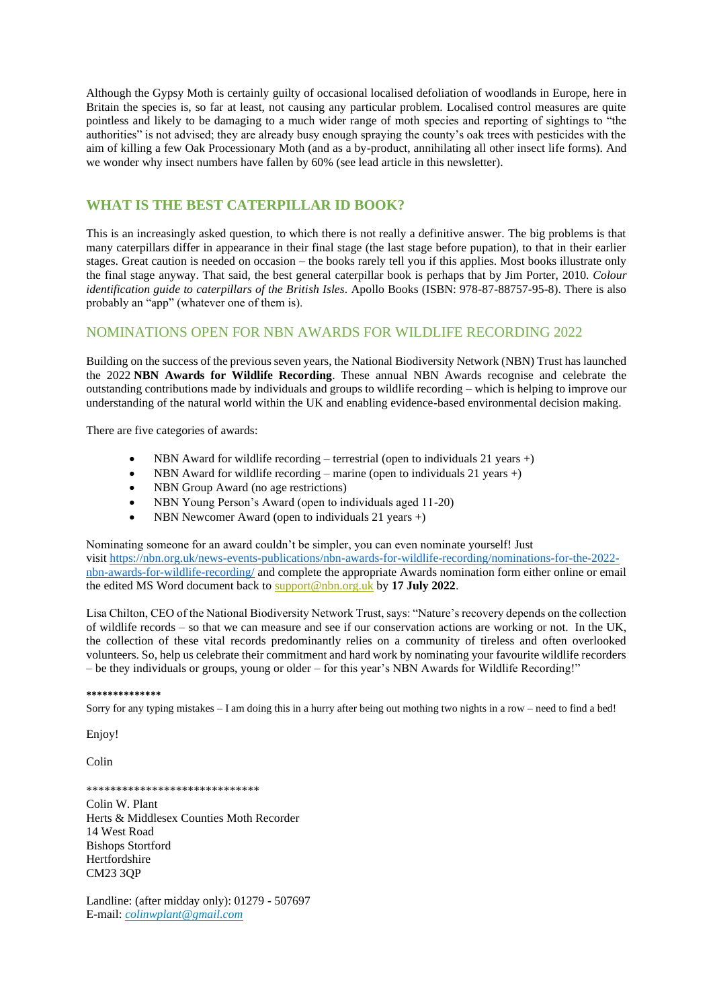Although the Gypsy Moth is certainly guilty of occasional localised defoliation of woodlands in Europe, here in Britain the species is, so far at least, not causing any particular problem. Localised control measures are quite pointless and likely to be damaging to a much wider range of moth species and reporting of sightings to "the authorities" is not advised; they are already busy enough spraying the county's oak trees with pesticides with the aim of killing a few Oak Processionary Moth (and as a by-product, annihilating all other insect life forms). And we wonder why insect numbers have fallen by 60% (see lead article in this newsletter).

### **WHAT IS THE BEST CATERPILLAR ID BOOK?**

This is an increasingly asked question, to which there is not really a definitive answer. The big problems is that many caterpillars differ in appearance in their final stage (the last stage before pupation), to that in their earlier stages. Great caution is needed on occasion – the books rarely tell you if this applies. Most books illustrate only the final stage anyway. That said, the best general caterpillar book is perhaps that by Jim Porter, 2010. *Colour identification guide to caterpillars of the British Isles*. Apollo Books (ISBN: 978-87-88757-95-8). There is also probably an "app" (whatever one of them is).

#### NOMINATIONS OPEN FOR NBN AWARDS FOR WILDLIFE RECORDING 2022

Building on the success of the previous seven years, the National Biodiversity Network (NBN) Trust has launched the 2022 **NBN Awards for Wildlife Recording**. These annual NBN Awards recognise and celebrate the outstanding contributions made by individuals and groups to wildlife recording – which is helping to improve our understanding of the natural world within the UK and enabling evidence-based environmental decision making.

There are five categories of awards:

- NBN Award for wildlife recording terrestrial (open to individuals 21 years +)
- NBN Award for wildlife recording marine (open to individuals 21 years +)
- NBN Group Award (no age restrictions)
- NBN Young Person's Award (open to individuals aged 11-20)
- NBN Newcomer Award (open to individuals 21 years +)

Nominating someone for an award couldn't be simpler, you can even nominate yourself! Just visit [https://nbn.org.uk/news-events-publications/nbn-awards-for-wildlife-recording/nominations-for-the-2022](https://nbn.org.uk/news-events-publications/nbn-awards-for-wildlife-recording/nominations-for-the-2022-nbn-awards-for-wildlife-recording/) [nbn-awards-for-wildlife-recording/](https://nbn.org.uk/news-events-publications/nbn-awards-for-wildlife-recording/nominations-for-the-2022-nbn-awards-for-wildlife-recording/) and complete the appropriate Awards nomination form either online or email the edited MS Word document back to [support@nbn.org.uk](mailto:support@nbn.org.uk) by **17 July 2022**.

Lisa Chilton, CEO of the National Biodiversity Network Trust, says: "Nature's recovery depends on the collection of wildlife records – so that we can measure and see if our conservation actions are working or not. In the UK, the collection of these vital records predominantly relies on a community of tireless and often overlooked volunteers. So, help us celebrate their commitment and hard work by nominating your favourite wildlife recorders – be they individuals or groups, young or older – for this year's NBN Awards for Wildlife Recording!"

#### **\*\*\*\*\*\*\*\*\*\*\*\*\*\***

Sorry for any typing mistakes – I am doing this in a hurry after being out mothing two nights in a row – need to find a bed!

Enjoy!

Colin

\*\*\*\*\*\*\*\*\*\*\*\*\*\*\*\*\*\*\*\*\*\*\*\*\*\*\*\*\*

Colin W. Plant Herts & Middlesex Counties Moth Recorder 14 West Road Bishops Stortford Hertfordshire CM23 3QP

Landline: (after midday only): 01279 - 507697 E-mail: *[colinwplant@gmail.com](mailto:colinwplant@gmail.com)*